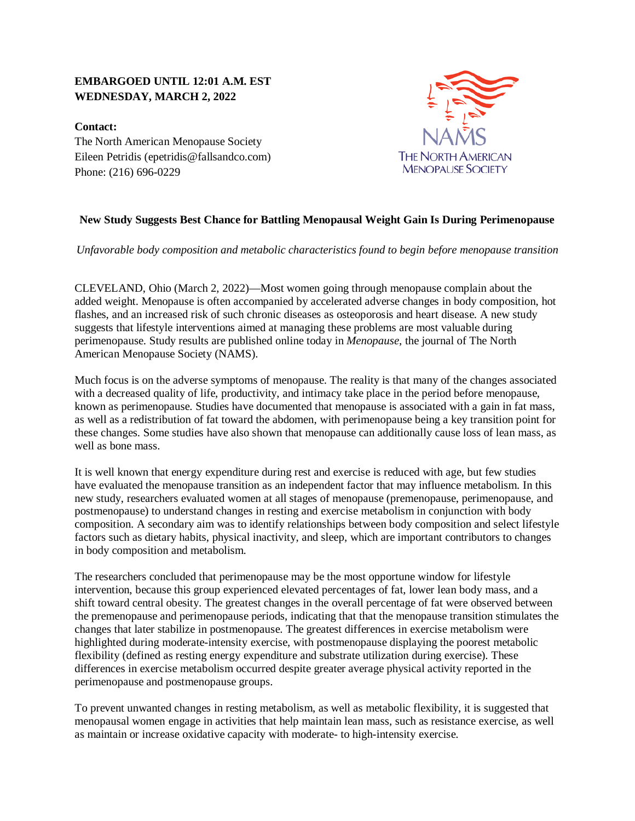## **EMBARGOED UNTIL 12:01 A.M. EST WEDNESDAY, MARCH 2, 2022**

**Contact:** The North American Menopause Society Eileen Petridis (epetridis@fallsandco.com) Phone: (216) 696-0229



## **New Study Suggests Best Chance for Battling Menopausal Weight Gain Is During Perimenopause**

*Unfavorable body composition and metabolic characteristics found to begin before menopause transition*

CLEVELAND, Ohio (March 2, 2022)—Most women going through menopause complain about the added weight. Menopause is often accompanied by accelerated adverse changes in body composition, hot flashes, and an increased risk of such chronic diseases as osteoporosis and heart disease. A new study suggests that lifestyle interventions aimed at managing these problems are most valuable during perimenopause. Study results are published online today in *Menopause*, the journal of The North American Menopause Society (NAMS).

Much focus is on the adverse symptoms of menopause. The reality is that many of the changes associated with a decreased quality of life, productivity, and intimacy take place in the period before menopause, known as perimenopause. Studies have documented that menopause is associated with a gain in fat mass, as well as a redistribution of fat toward the abdomen, with perimenopause being a key transition point for these changes. Some studies have also shown that menopause can additionally cause loss of lean mass, as well as bone mass.

It is well known that energy expenditure during rest and exercise is reduced with age, but few studies have evaluated the menopause transition as an independent factor that may influence metabolism. In this new study, researchers evaluated women at all stages of menopause (premenopause, perimenopause, and postmenopause) to understand changes in resting and exercise metabolism in conjunction with body composition. A secondary aim was to identify relationships between body composition and select lifestyle factors such as dietary habits, physical inactivity, and sleep, which are important contributors to changes in body composition and metabolism.

The researchers concluded that perimenopause may be the most opportune window for lifestyle intervention, because this group experienced elevated percentages of fat, lower lean body mass, and a shift toward central obesity. The greatest changes in the overall percentage of fat were observed between the premenopause and perimenopause periods, indicating that that the menopause transition stimulates the changes that later stabilize in postmenopause. The greatest differences in exercise metabolism were highlighted during moderate-intensity exercise, with postmenopause displaying the poorest metabolic flexibility (defined as resting energy expenditure and substrate utilization during exercise). These differences in exercise metabolism occurred despite greater average physical activity reported in the perimenopause and postmenopause groups.

To prevent unwanted changes in resting metabolism, as well as metabolic flexibility, it is suggested that menopausal women engage in activities that help maintain lean mass, such as resistance exercise, as well as maintain or increase oxidative capacity with moderate- to high-intensity exercise.